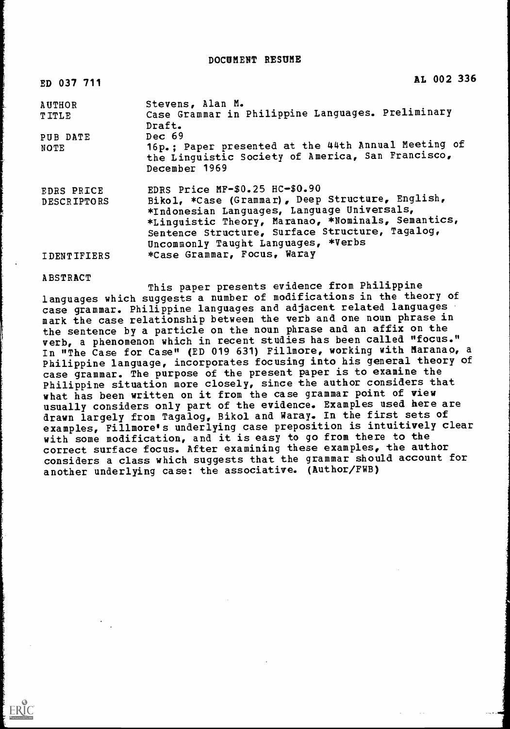DOCUMENT RESUME

| ED 037 711         | AL 002 336                                                                                                                                                                                                                                      |
|--------------------|-------------------------------------------------------------------------------------------------------------------------------------------------------------------------------------------------------------------------------------------------|
| <b>AUTHOR</b>      | Stevens, Alan M.                                                                                                                                                                                                                                |
| <b>TITLE</b>       | Case Grammar in Philippine Languages. Preliminary<br>Draft.                                                                                                                                                                                     |
| PUB DATE           | Dec 69                                                                                                                                                                                                                                          |
| <b>NOTE</b>        | 16p.; Paper presented at the 44th Annual Meeting of<br>the Linguistic Society of America, San Francisco,<br>December 1969                                                                                                                       |
| EDRS PRICE         | EDRS Price $MF-$0.25$ HC- $$0.90$                                                                                                                                                                                                               |
| <b>DESCRIPTORS</b> | Bikol, *Case (Grammar), Deep Structure, English,<br>*Indonesian Languages, Language Universals,<br>*Linguistic Theory, Maranao, *Nominals, Semantics,<br>Sentence Structure, Surface Structure, Tagalog,<br>Uncommonly Taught Languages, *Verbs |
| <b>IDENTIFIERS</b> | *Case Grammar, Focus, Waray                                                                                                                                                                                                                     |

#### ABSTRACT

ERIC

This paper presents evidence from Philippine languages which suggests a number of modifications in the theory of case grammar. Philippine languages and adjacent related languages mark the case relationship between the verb and one noun phrase in the sentence by a particle on the noun phrase and an affix on the verb, a phenomenon which in recent studies has been called "focus." In "The Case for Case" (ED 019 631) Fillmore, working with Maranao, a Philippine language, incorporates focusing into his general theory of case grammar. The purpose of the present paper is to examine the Philippine situation more closely, since the author considers that what has been written on it from the case grammar point of view usually considers only part of the evidence. Examples used here are drawn largely from Tagalog, Bikol and Waray. In the first sets of examples, Fillmore's underlying case preposition is intuitively clear with some modification, and it is easy to go from there to the correct surface focus. After examining these examples, the author considers a class which suggests that the grammar should account for another underlying case: the associative. (Author/FWB)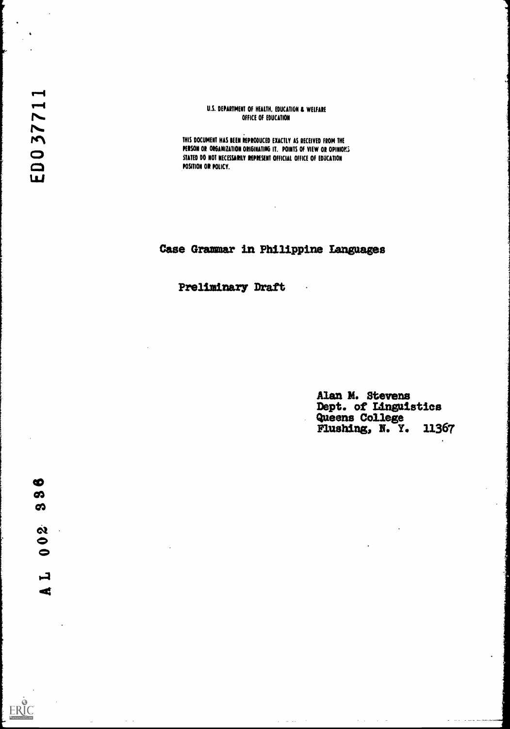#### U.S. DEPARTMENT OF HEALTH, EDUCATION & WELFARE OFFICE OF EDUCATION

THIS DOCUMENT HAS BEEN REPRODUCED EXACTLY AS RECEIVED FROM THE PERSON OR ORGANIZATION ORIGINATING IT. POINTS OF VIEW OR OPINIOKS STATED DO NOT NECESSARILY REPRESENT OFFICIAL OFFICE OF EDUCATION POSITION OR POLICY.

# Case Grammar in Philippine Languages

 $\alpha_{\rm c}$  , and  $\alpha_{\rm c}$  , and  $\alpha_{\rm c}$ 

Preliminary Draft

Alan M. Stevens<br>Dept. of Linguistics<br>Queens College<br>Flushing, N. Y. 11367

 $\sigma_{\rm{eff}}(\omega_{\rm{eff}})$  , and  $\sigma_{\rm{eff}}(\omega_{\rm{eff}})$ 

ERIC

 $\mathcal{L}$ 

 $\sim$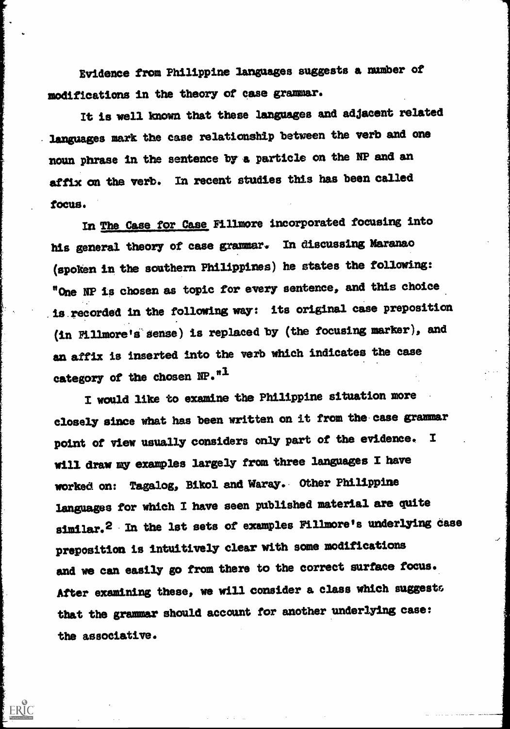Evidence from Philippine languages suggests a number of modifications in the theory of case grammar.

It is well known that these languages and adjacent related languages mark the case relationship between the verb and one noun phrase in the sentence by a particle on the NP and an affix on the verb. In recent studies this has been called focus.

In The Case for Case Fillmore incorporated focusing into his general theory of case grammar. In discussing Maramao (spoken in the southern Philippines) he states the following: "One NP is chosen as topic for every sentence, and this choice is.recorded in the following way: its original case preposition (in Fillmore ts sense) is replaced by (the focusing marker), and an affix is inserted into the verb which indicates the case category of the chosen NP."<sup>1</sup>

I would like to examine the Philippine situation more closely since what has been written on it from the. case grammar point of view usually considers only part of the evidence. I will draw my examples largely from three languages I have worked on: Tagalog, Bikol and Waray.- Other Philippine languages for which I have seen published material are quite similar.<sup>2</sup> In the lst sets of examples Fillmore's underlying case preposition is intuitively clear with some modifications and we can easily go from there to the correct surface focus. After examining these, we will consider a class which suggests that the grammar should account for another underlying case: the associative.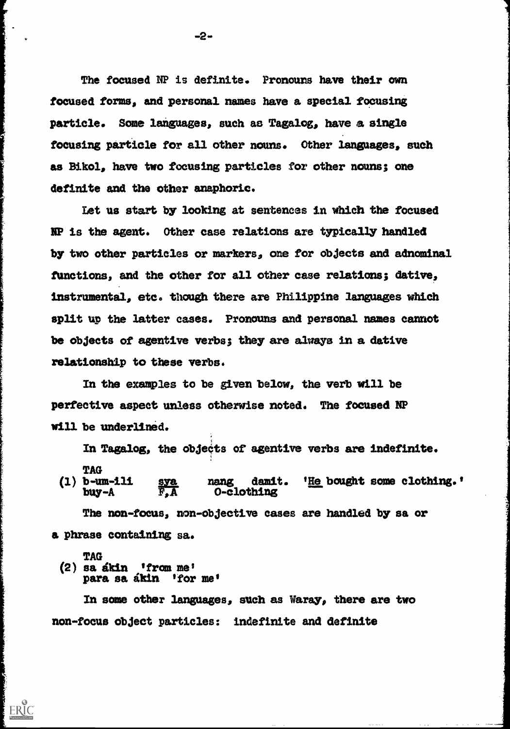The focused NP is definite. Pronouns have their own focused forms, and personal names have a special focusing particle. Some languages, such as Tagalog, have a single focusing particle for all other nouns. Other languages, such as Bikol, have two focusing particles for other nouns; one definite and the other anaphoric.

Let us start by looking at sentences in which the focused NP is the agent. Other case relations are typically handled by two other particles or markers, one for objects and adnominal functions, and the other for all other case relations; dative, instrumental, etc. though there are Philippine languages which split up the latter cases. Pronouns and personal names cannot be objects of agentive verbs; they are always in a dative relationship to these verbs.

In the examples to be given below, the verb will be perfective aspect unless otherwise noted. The focused NP will be underlined.

In Tagalog, the objects of agentive verbs are indefinite.

TAG<br>(1) b-um-111 b-um-111 sya nang damit. '<u>He</u> bought some clothing.'<br>buy-A F,A O-clothing 0-clothing

The non-focus, non-objective cases are handled by sa or a phrase containing sa.

# TAG

ERIC

 $(2)$  sa ákin 'from me' para sa akin 'for me'

In some other languages, such as Waray, there are two non-focus object particles: indefinite and definite

-2-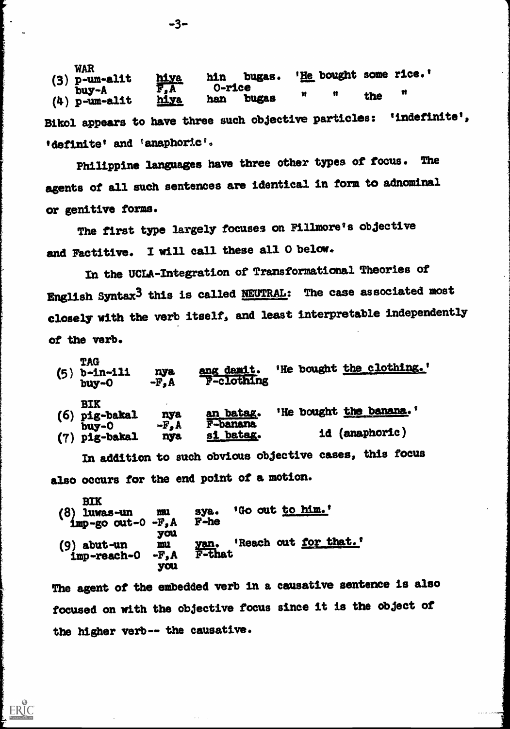WAR<br>(3)  $p$ -um-alit p-um-alit hiva hin bugas. 'He bought some rice.'<br>buy-A F,A O-rice buy-A 0-rice  $(4)$  p-um-alit  $\frac{m}{2}$  han bugas " " the " Bikol appears to have three such objective particles: 'indefinite', 'definite' and 'anaphoric'.

Philippine languages have three other types of focus. The agents of all such sentences are identical in form to adnominal or genitive forms.

The first type largely focuses on Fillmore's objective and Factitive. I will call these all 0 below.

In the UCLA-Integration of Transformational Theories of English Syntax3 this is called NEUTRAL: The case associated most closely with the verb itself, and least interpretable independently of the verb.

| (5) | <b>TAG</b><br>$b$ -in-ili<br>buy-0  | nya<br>$-F2A$          | ang damit.<br><b>F-clothing</b> | 'He bought the clothing.'             |
|-----|-------------------------------------|------------------------|---------------------------------|---------------------------------------|
| (6) | <b>BIK</b><br>pig-bakal<br>$buy -0$ | nya<br>$-F_{\bullet}A$ | an batag.<br>F-banana           | 'He bought the banana.'               |
| (7) | pig-bakal                           | nya                    | si batag.                       | id (anaphoric)<br><u> 11.9. Далан</u> |

In addition to such obvious objective cases, this focus also occurs for the end point of a motion.

BIK (8) luwas-un mu sya. 'Go out <u>to him.</u>' imp-go out-0 -F,A F-he you (9) abut-un mu yan. 'Reach out for that.'<br>
imp-reach-0 -F, A F-that  $imp$ -reach- $O$ you

ERIC

The agent of the embedded verb in a causative sentence is also focused on with the objective focus since it is the object of the higher verb-- the causative.

-3-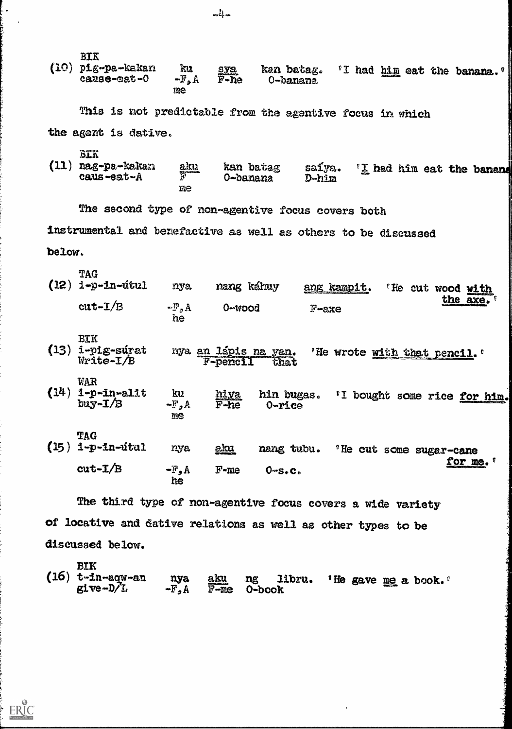BIK<br>(10)  $pf_{E}$ -pa-kakan ku sya kan batag. 'I had him eat the banana. ' $\mathbb{F}_s$ A  $\widetilde{F}$ -he 0-banana cause-eat-0 me

This is not predictable from the agentive focus in which the agent is dative.

- 
- BIK<br>(11) nag-pa-kakan aku kan batag saiya. 'I had him eat the banand  $caus -ea t - A$ me

The second type of non-agentive focus covers both

instrumental and benefactive as well as others to be discussed

below.

 $ERIC$ 

| (12) | TAG<br>1-p-in-útul                     | nya.                         | nang káhuy                       | ang kampit.              | 'He cut wood with                   |
|------|----------------------------------------|------------------------------|----------------------------------|--------------------------|-------------------------------------|
|      | $cut-T/B$                              | $-F_{2}A$<br>he              | 0-wood                           | $F$ -axe                 | the axe.                            |
| (13) | <b>BIK</b><br>1-pig-súrat<br>Write-I/B |                              | nya an lápis na yan.<br>F-pencil | that                     | "He wrote with that pencil."        |
| (14) | WAR<br>1-p-in-alit<br>$buy - I/B$      | ku<br>$\mathbb{F}_2$ A<br>me | hiya<br>$F$ -he                  | hin bugas.<br>$0 -$ rice | 'I bought some rice for him.        |
| (15) | <b>TAG</b><br>1-p-in-útul              | nya                          | <u>aku</u>                       | nang tubu.               | <sup>'</sup> He cut some sugar-cane |
|      | $cut-L/B$                              | $-F_{\bullet}A$<br>he        | $F$ -me                          | 0.56C                    | for me.                             |

The third type of non-agentive focus covers a wide variety of locative and dative relations as well as other types to be discussed below.

BIK<br>(16)  $t$ -in-aqw-an t-in-aqw-an nya <u>aku</u> ng libru. ' He gave <u>me</u> a book.'<br>give-D/L -F,A F-me 0-book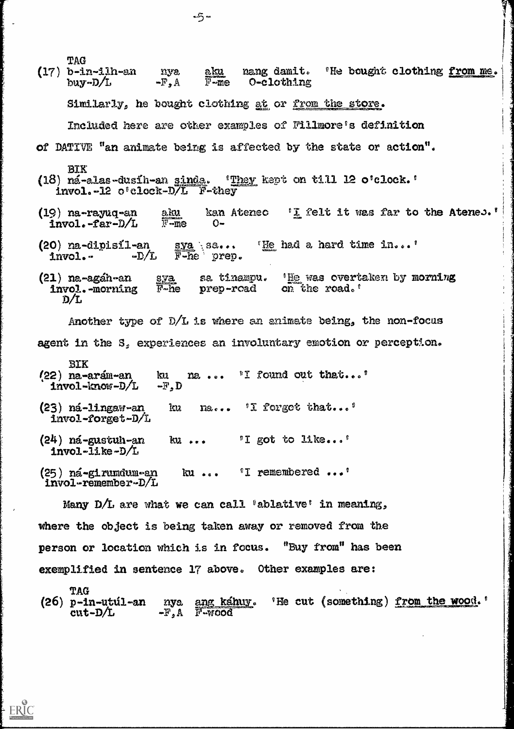| TAG<br>(17) b-in-ilh-an nya <u>aku</u> nang damit. 'He bought clothing <u>from me</u> .<br>buy-D/L -F, A F-me O-clothing |  |  |  |  |  |  |
|--------------------------------------------------------------------------------------------------------------------------|--|--|--|--|--|--|
| Similarly, he bought clothing at or from the store.                                                                      |  |  |  |  |  |  |
| Included here are other examples of Fillmore's definition                                                                |  |  |  |  |  |  |
| of DATIVE "an animate being is affected by the state or action".                                                         |  |  |  |  |  |  |
| <b>BIK</b><br>(18) ná-alas-dusíh-an sinda. 'They kept on till 12 o'clock.'<br>invol.-12 o'clock-D/L F-they               |  |  |  |  |  |  |
| (19) na-rayuq-an aku kan Atenec 'I felt it was far to the Atenes.'<br>invol.-far-D/L $\overline{r}$ -me 0-               |  |  |  |  |  |  |
| (20) na-dipisil-an sya sa "He had a hard time in"<br>invol.- $-D/L$ F-he prep.                                           |  |  |  |  |  |  |
| (21) na-agáh-an sya sa tinampu. 'He was overtaken by morning<br>invol.-morning F-he prep-road on the road.'<br>D/L       |  |  |  |  |  |  |
| Another type of $D/L$ is where an animate being, the non-focus                                                           |  |  |  |  |  |  |
| agent in the S, experiences an involuntary emotion or perception.                                                        |  |  |  |  |  |  |
| BIK<br>ku na  "I found out that"<br>$(22)$ na-arám-an<br>$invol-know-D/L$<br>$-\mathbb{F}, \mathbb{D}$                   |  |  |  |  |  |  |
| na 'I forgot that'<br>$(23)$ ná-lingaw-an<br>ku<br>invol-forget-D/L                                                      |  |  |  |  |  |  |
| ku  II got to like'<br>$(24)$ ná-gustuh-an<br>$invol$ -like-D/L                                                          |  |  |  |  |  |  |
| ku "I remembered"<br>$(25)$ ná-girumdum-an<br>invol-remember-D/L                                                         |  |  |  |  |  |  |
| Many D/L are what we can call "ablative" in meaning,                                                                     |  |  |  |  |  |  |
| where the object is being taken away or removed from the                                                                 |  |  |  |  |  |  |
| person or location which is in focus. "Buy from" has been                                                                |  |  |  |  |  |  |

exemplified in sentence 17 above, Other examples are:

ERIC

TAG nya ang káhuy. 'He cut (something) from the wood.'<br>-F,A F-wood  $cut-D/L$  -F<sub>2</sub>A F-wood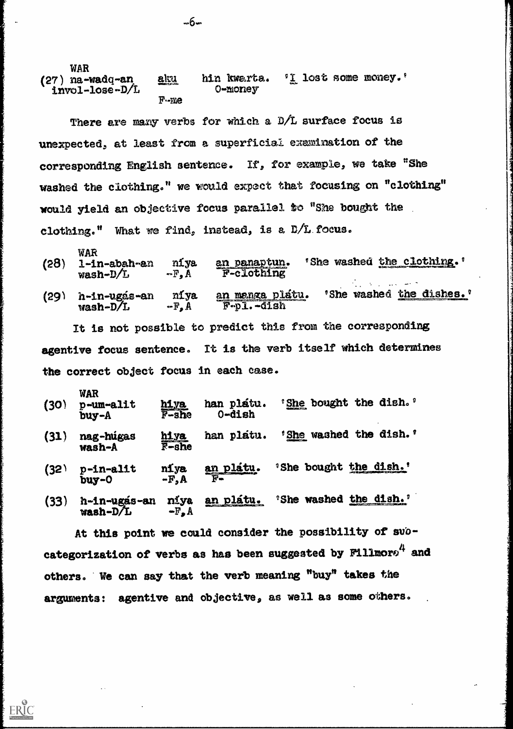| <b>WAR</b><br>$(27)$ na-wadq-an<br>invol-lose-D/L | anu     | hin kwarta.<br><b>O-money</b> | $\degree$ I lost some money. $\degree$ |  |
|---------------------------------------------------|---------|-------------------------------|----------------------------------------|--|
|                                                   | $F - E$ |                               |                                        |  |

There are many verbs for which a D/L surface focus is unexpected, at least from a superficial examination of the corresponding English sentence. If, for example, we take "She washed the clothing," we would expect that focusing on "clothing" would yield an objective focus parallel to "She bought the clothing." What we find, instead, is a  $D/L$  focus.

| (28) | WAR<br>1-in-abah-an<br>$wash-D/L$ | niya<br>$-F_{\bullet}A$ | an panaptun.<br>F-clothing | washed the clothing.<br>'She |  |
|------|-----------------------------------|-------------------------|----------------------------|------------------------------|--|
|      |                                   |                         |                            |                              |  |

(29) h-in-ugás-an níya an menga plátu. 'She washed <u>the dishes.</u>'<br>wash-D/L -F, A F-p1.-dish  $\overline{F}$ -p1.-dish

It is not possible to predict this from the corresponding agentive focus sentence. It is the verb itself which determines the correct object focus in each case.

| (30) | <b>WAR</b><br>p-um-alit<br>buy-A | hiya<br>F-she    | han platu.<br>0-dish | 'She bought the dish.' |  |
|------|----------------------------------|------------------|----------------------|------------------------|--|
| (31) | nag-húgas<br>wash-A              | hiya<br>$F$ -she | han platu.           | 'She washed the dish.' |  |

- (32) p-in-alit niya an platu. 'She bought the dish.'<br>buy-0 -F,A  $F$  $b$ uy-0
- (33) h-in-ugas-an niya <u>an platu.</u> 'She washed the dish.'<br>wash-D/L  $-F_{\bullet}A$  $wash-D/L$

At this point we could consider the possibility of subcategorization of verbs as has been suggested by  $F111$ mor $e^{4}$  and others. We can say that the verb meaning "buy" takes the arguments: agentive and objective, as well as some others,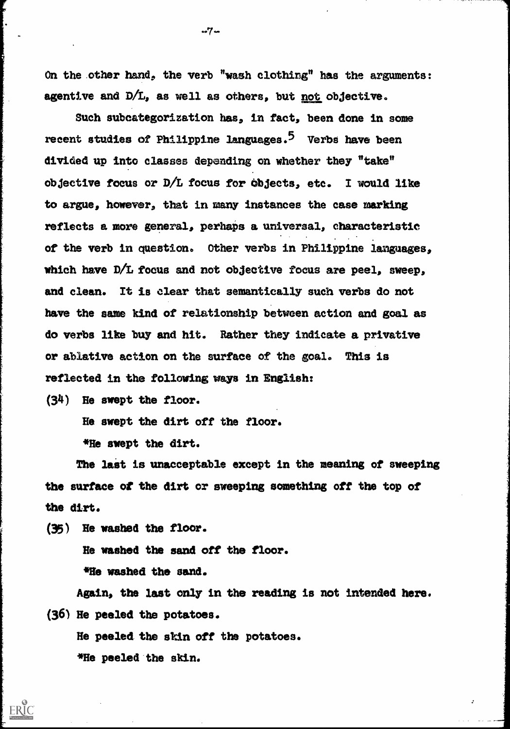On the .other hand, the verb "wash clothing" has the arguments: agentive and  $D/L$ , as well as others, but not objective.

Such subcategorization has, in fact, been done in some recent studies of Philippine languages.<sup>5</sup> Verbs have been divided up into classes depending on whether they "take" Objective focus or D/L focus for objects, etc. I would like to argue, however, that in many instances the case marking reflects a more general, perhaps a universal, characteristic of the verb in question. Other verbs in Philippine languages, which have D/L focus and not objective focus are peel, sweep, and clean. It is clear that semantically such verbs do not have the sane kind of relationship between action and goal as do verbs like buy and hit. Rather they indicate a privative or ablative action on the surface of the goal. This is reflected in the following ways in English:

(34) He swept the floor.

He swept the dirt off the floor.

\*He swept the dirt.

The last is unacceptable except in the meaning of sweeping the surface of the dirt or sweeping something off the top of the dirt.

(35) He washed the floor.

ERIC

He washed the sand off the floor. \*He washed the sand.

Again, the last only in the reading is not intended here. (36) He peeled the potatoes.

He peeled. the skin off the potatoes. \*He peeled 'the skin.

-7-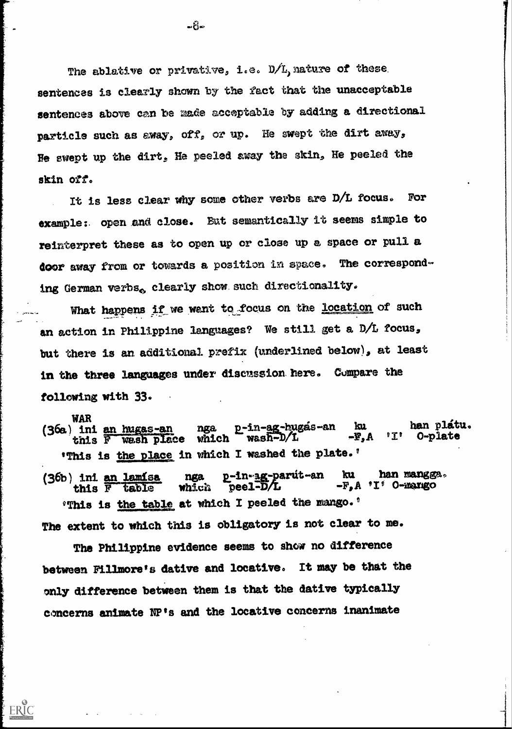The ablative or privative, i.e.  $D/L$ , nature of these sentences is clearly shown by the fact that the unacceptable sentences above can be made acceptable by adding a directional particle such as away, off, or up. He swept the dirt away, Be swept up the dirt, He peeled away the skin, He peeled the skin off.

It is less clear why some other verbs are D/L focus. For example :. open and close. But semantically it seems simple to reinterpret these as to open up or close up a space or pull a door away from or towards a position in space. The corresponding German verbs. clearly show such directionality.

What happens if we want to focus on the location of such an action in Philippine languages? We still get a D/L focus, but there is an additional prefix (underlined below), at least in the three languages under discussion. here. Compare the following with 33. .

WAR (36a) ini an hugas-an nga p-in-ag-hugás-an ku han plátu.<br>
this F wash place which wash-D/L -F, A 'I' O-plate this F wash place which 'This is the place in which I washed the plate.'

(36b) ini an lamisa nga p-in-ag-parut-an ku han mangga.<br>this F table which peel-D/L -F, A 'I' O-mango  $-F_{a}A$  'I' O-marigo  $^{\circ}$ This is the table at which I peeled the mango. $^{\circ}$ The extent to which this is obligatory is not clear to me.

The Philippine evidence seems to show no difference between Fillmore's dative and locative. It may be that the only difference between them is that the dative typically concerns animate VP's and the locative concerns inanimate

ERIC

≖ຽື້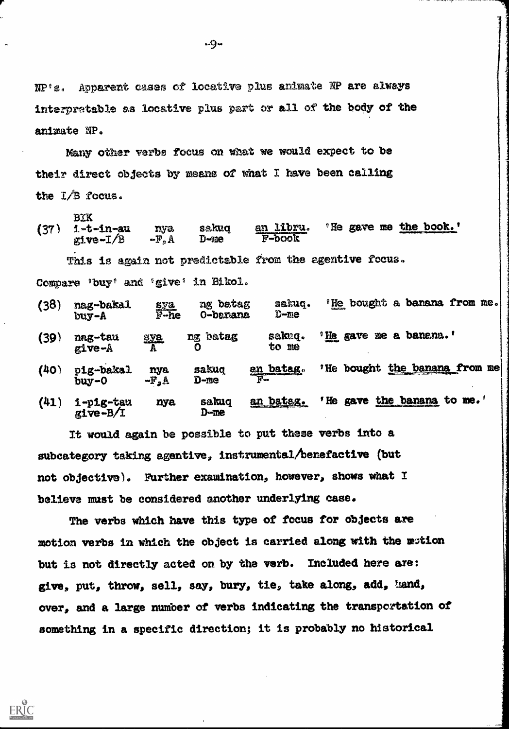NP/s, Apparent cases of locative plus animate NP are always interpratable as locative plus part or all of the body of the animate NP,

Many other verbs focus on what we would expect to be their direct objects by means of what I have been calling the I/B focus,

BIK (37) i-t-in-au nya sakuq a<u>n libru</u>. 'He gave me <u>the book.'</u><br>give-I/B -F.A D-me F-book  $-F<sub>p</sub> A$  D-me  $F$ -book This is again not predictable from the agentive focus. Compare 'buy' and 'give' in Bikol.

| (38) | nag-bakal<br>buy-A        | sya<br>F-he     | ng betag<br><b>O-banana</b> | sakuq.<br>$D$ -me                            | "He bought a barana from me.           |
|------|---------------------------|-----------------|-----------------------------|----------------------------------------------|----------------------------------------|
| (39) | nag-tau<br>$g1ve-A$       | <b>SVa</b><br>A | batag<br>ng                 | sakuq.<br>to me                              | me a banana.'<br>$^{\circ}$ He<br>gave |
| (40) | pig-bakal<br>buy-0        | nya<br>$-F_2A$  | sakuq<br>D-me               | $\frac{\text{an } \text{bates}}{\text{F} -}$ | the banana from me<br>bought<br>"He    |
| (41) | 1-p1g-tau<br>$g_1$ ve-B/I | nya             | sakuq<br>D-me               | an batag.                                    | the<br>He<br>to me.'<br>banana<br>gave |

It would again be possible to put these verbs into a subcategory taking agentive, instrumental/benefactive (but not objective). Further examination, however, shows what I believe must be considered another underlying case.

The verbs which have this type of focus for objects are motion verbs in which the object is carried along with the wtion but is not directly acted on by the verb. Included here axe: give, put, throw, sell, say, bury, tie, take along, add, hand, over, and a large number of verbs indicating the transportation of something in a specific direction; it is probably no historical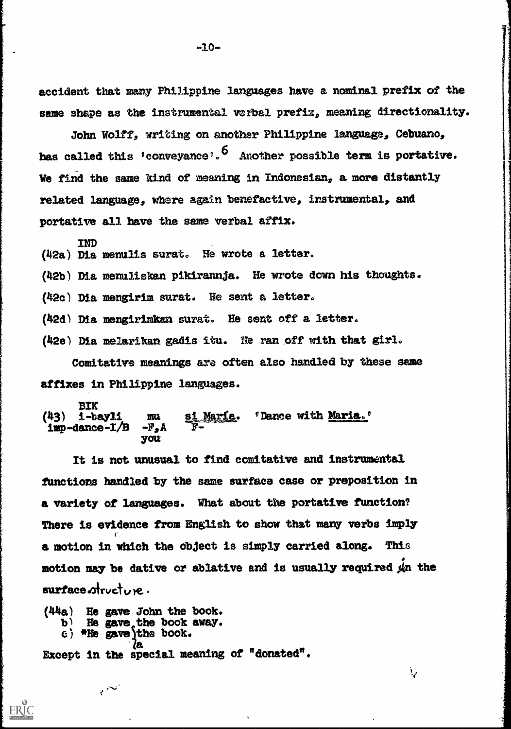accident that many Philippine languages have a nominal prefix of the same shape as the instrumental verbal prefix, meaning directionality.

John Wolff, writing on another Philippine language, Cebuano, has called this 'conveyance'.<sup>6</sup> Another possible term is portative. We find the same kind of meaning in Indonesian, a more distantly related language, where again benefactive, instrumental, and portative all have the same verbal affix.

IND  $(42a)$  Dia menulis surat. He wrote a letter.

(42b) Dia menuliskan pikirannja. He wrote down his thoughts.

(42c) Dia mengirim surat. He sent a letter.

(42d) Dia mengirimkan surat. He sent off a letter.

(42e) Dia, melarikan gadis itu. Ile ran off with that girl. Comitative meanings are often also handled by these same

affixes in Philippine languages.

BIK<br>(43) i-bayli mu si María. 'Dance with Maria.'<br>-F, A F $imp$ -dance- $I/B$ you

It is not unusual to find comitative and instrumental fUnetions handled by the same surface case or preposition in a variety of languages. What about the portative function? There is evidence from English to show that many verbs imply a motion in which the object is simply carried along. This motion may be dative or ablative and is usually required  $\sin$  the  $surface$   $drive$ .

ैर

(44a) He gave John the book.<br>b) He gave the book away.<br>c) \*He gave the book.<br>a Except in the special meaning of "donated".

 $\mathcal{C}^{(1)}$ 

ERIC<br>FullTaxt Provided by ERIC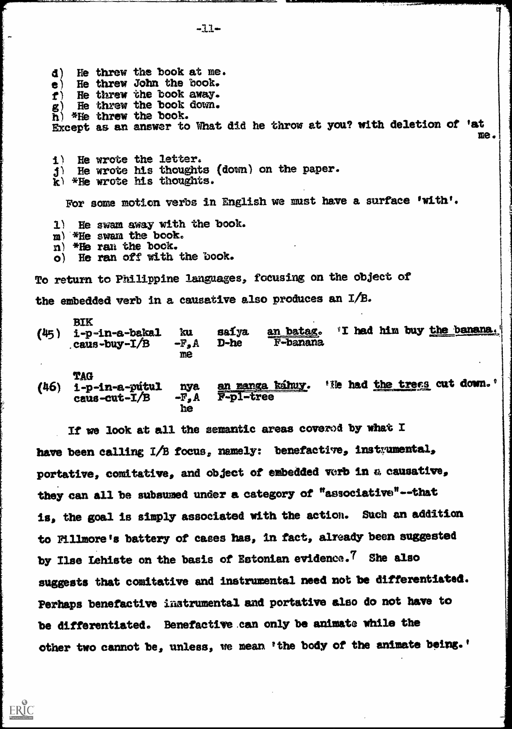d) He threw the book at me. e) He threw John the book.<br>  $f$ ) He threw the book away.  $\mathbf{f}$  ) He threw the book away.<br> $\mathbf{g}$  ) He threw the book down.  $\tilde{\mathbf{h}}$ ) \*He threw the book.<br>Except as an answer to What did he throw at you? with deletion of 'at  $\begin{bmatrix} \mathbf{h} & \mathbf{h} & \mathbf{h} \end{bmatrix}$  $\bar{\mathbf{h}}$  \*He threw the book. i) He wrote the letter.  $3)$  He wrote his thoughts (down) on the paper.<br>k) \*He wrote his thoughts. For some motion verbs in English we must have a surface 'with'. 1) He swam away with the book.<br>  $\begin{array}{l} \hbox{m)}$  \*He swam the book.<br>  $\hbox{n)}$  \*He ran the book.<br>  $\hbox{o)}$  He ran off with the book. To return to Philippine languages, focusing on the object of the embedded verb in a causative also produces an I/B. BIK  $(45)$  i-p-in-a-bakal ku saiya<br>caus-buy-I/B -F, A D-he me. an batag. 'I had him buy the banana.

- $_{c}$ caus-buy- $I/B$ me F**-b**anana
- TAG<br>i-p-in-a-pútul (46)  $i$ -p-in-a-pútul nya an manga káhuy. 'He had the trees cut down.'<br>caus-cut-I/B -F, A F-p1-tree  $c$ aus-cut-I/B he

If we look at all the semantic areas coverod by what I have been calling I/B focus, namely: benefactive, instrumental, portative, comitative, and object of embedded verb in a causative, they can all be subsumed under a category of "associative"--that is, the goal is simply associated with the action. Such an addition to Fillmore is battery of cases has, in fact, already been suggested by Ilse Lehiste on the basis of Estonian evidence.<sup>7</sup> She also suggests that comitative and instrumental need not be differentiated. Perhaps benefactive instrumental and portative also do not have to be differentiated. Benefactive .can only be animate while the other two cannot be, unless, we mean 'the body of the animate being.'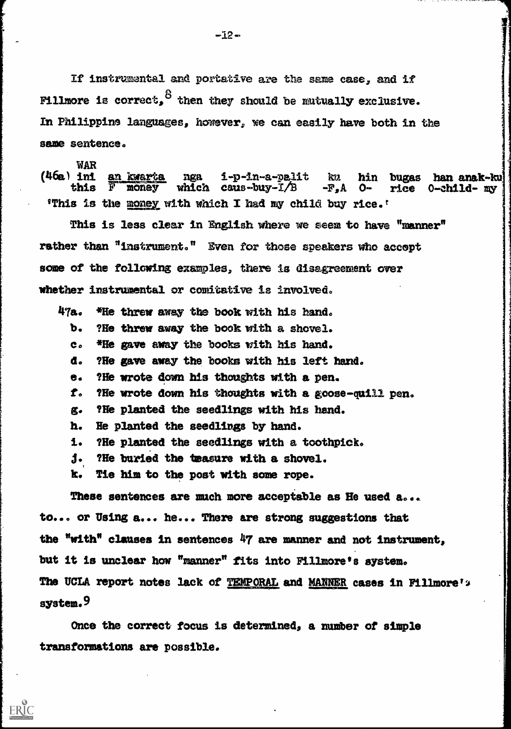If instrumental and portative are the same case, and if Fillmore is correct,  $^{\mathcal{B}}$  then they should be mutually exclusive. In Philippine languages, however, we can easily have both in the same sentence.

WAR<br>(46a) ini <u>an Kwarta</u> nga i-p-in-a-palit ku hin bugas han anak-ku (46a) ini anak-ku (46a) this F money which caus-buy-I/B -F,A O- rice 0-child- my 'This is the money with which I had my child buy rice.'

This is less clear in English where we seem to have "manner" rather than "instrument." Even for those speakers who accept some of the following examples, there is disagreement over whether instrumental or comitative is involved.

 $47a.$  \*He threw away the book with his hand.

b. ?He threw away the book with a shovel.

co \*Re gave away the books with his hand.

d. ?He gave away the books with his left band.

e. ?Ile wrote down his thoughts with a pen.

 $f_{\rm o}$  ?He wrote down his thoughts with a goose-quill pen.

g. ?He planted the seedlings with his hand.

h. Re planted the seedlings by hand.

?He planted the seedlings with a toothpick. 1.

3. ?He buried the Imexure with a shovel.

k. Tie him to the post with some rope.

ERIC

These sentences are much more acceptable as He used a... to... or Using a... he... There are strong suggestions that the "with" clauses in sentences 47 are manner and not instrument, but it is unclear how "manner" fits into Fillmore's system. The UCLA report notes lack of TEMPORAL and MANNER cases in Fillmore's system.<sup>9</sup>

Once the correct focus is determined, a number of simple transformations are possible.

 $-12-$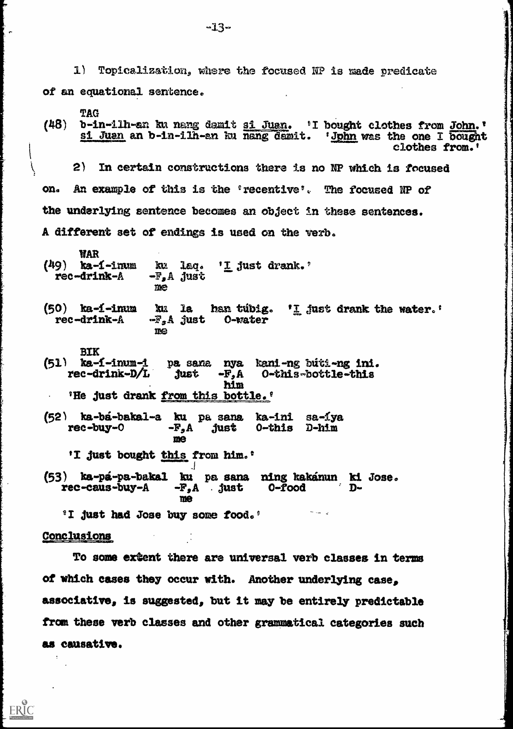$1)$  Topicalization, where the focused NP is made predicate of an equational sentence.

TAG<br>b-in-11h-an ku nang damit <u>si Juan</u>. 'I bought clothes from John.' (48) b-in-ilh-an ku nang damit <u>si Juan</u>. 'I bought clothes from <u>John</u>.'<br>Si Juan an b-in-ilh-an ku nang damit. '<u>Jphn</u> was the one I bought<br>clothes from.'

2) In certain constructions there is no NP which is focused on. An example of this is the 'recentive'. The focused NP of the underlying sentence becomes an object in these sentences. A different set of endings is used on the verb,

WAR<br>(49) ka-1-inum (9) ka-f-inum ku laq. '<u>I</u> just drank.'<br>rec-drink-A -F,A just me

- (50) ka-í-inum ku la hantúbig.  $rI$  just drank the water. rec-drink- $A$  -F,A just 0-water me.
- BIK<br>(51) ka-í-inum-i (51) ka-f-inum-i pa sana nya kani-ng buti-ng ini.<br>
rec-drink-D/L just -F,A 0-this-bottle-this<br>
him 'He just drank from this bottle.'
- (52) ka-bá-bakal-a ku pa sana ka-ini sa-íya rec-buy-0  $-F<sub>2</sub>A$  just 0-this D-him me 'I just bought this from him.' (53) ka-pa-pa-bakal ku pa sans ring kakinun ki Jose. rec-cans-buy-A -F,A . just 0-food Dme

<sup>9</sup>I just had Jose buy some food.'

#### Conclusions

ERIC

To some extent there are universal verb classes in terms of which cases they occur with. Another underlying case, associative, is suggested, but it maybe entirely predictable from these verb classes and other grammatical categories such as causative.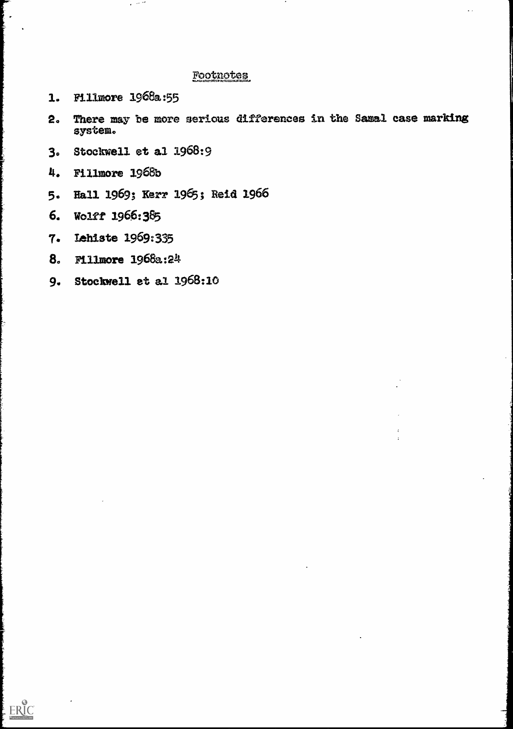# Footnotes

1. Fillmore 1968a:55

 $\overline{\phantom{a}}$ 

- 2. There may be more serious differences in the Samal case marking system.
- 3. Stockwell et al 1968:9
- 4. Fillmore 1968b
- 5. Hall 1969; Kerr 1965; Reid 1966
- 6. Wolff 1966:385
- 7. Lehiste 1969:335
- 8. Fillmore 1968a:24
- 9. Stockwell et al 1968:10